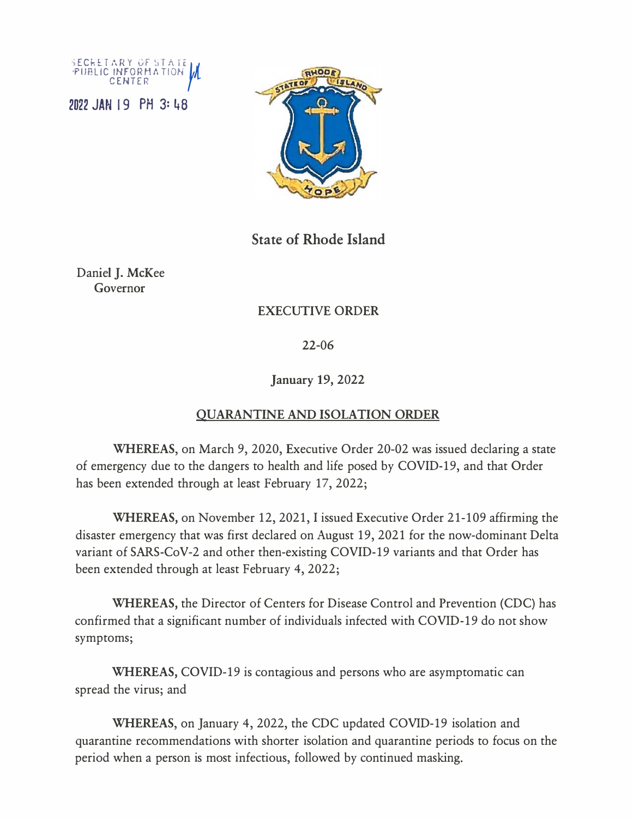



**State of Rhode Island** 

Daniel J. McKee Governor

## EXECUTIVE ORDER

22-06

**January** 19, 2022

## **QUARANTINE AND ISOLATION ORDER**

**WHEREAS,** on March 9, 2020, Executive Order 20-02 was issued declaring a state of emergency due to the dangers to health and life posed by COVID-19, and that Order has been extended through at least February 17, 2022;

**WHEREAS,** on November 12, 2021, I issued Executive Order 21-109 affirming the disaster emergency that was first declared on August 19, 2021 for the now-dominant Delta variant of SARS-CoV-2 and other then-existing COVID-19 variants and that Order has been extended through at least February 4, 2022;

**WHEREAS,** the Director of Centers for Disease Control and Prevention (CDC) has confirmed that a significant number of individuals infected with COVID-19 do not show symptoms;

**WHEREAS,** COVID-19 is contagious and persons who are asymptomatic can spread the virus; and

**WHEREAS,** on January 4, 2022, the CDC updated COVID-19 isolation and quarantine recommendations with shorter isolation and quarantine periods to focus on the period when a person is most infectious, followed by continued masking.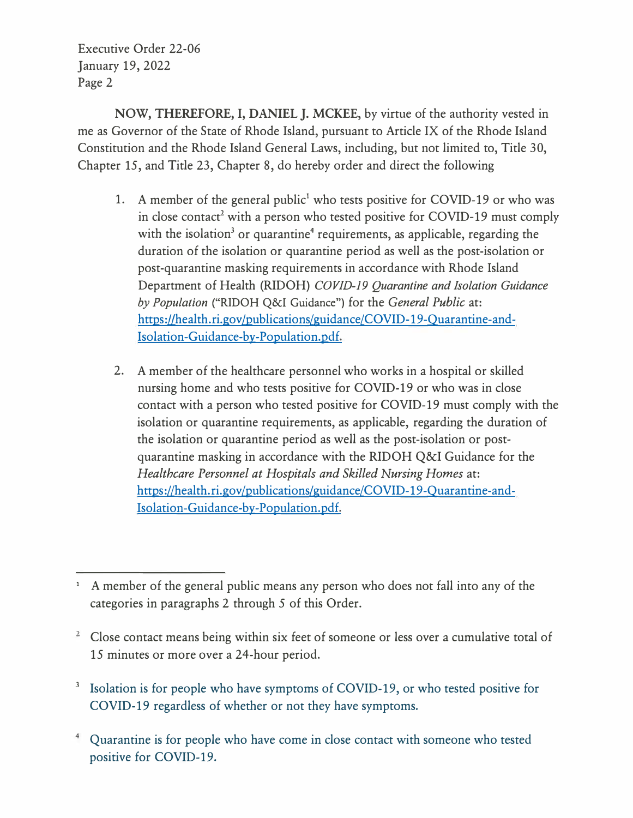Executive Order 22-06 January 19, 2022 Page 2

**NOW, THEREFORE,** I, **DANIEL J. MCKEE,** by virtue of the authority vested in me as Governor of the State of Rhode Island, pursuant to Article IX of the Rhode Island Constitution and the Rhode Island General Laws, including, but not limited to, Title 30, Chapter 15, and Title 23, Chapter 8, do hereby order and direct the following

- 1. A member of the general public<sup>1</sup> who tests positive for COVID-19 or who was in close contact<sup>2</sup> with a person who tested positive for COVID-19 must comply with the isolation<sup>3</sup> or quarantine<sup>4</sup> requirements, as applicable, regarding the duration of the isolation or quarantine period as well as the post-isolation or post-quarantine masking requirements in accordance with Rhode Island Department of Health (RIDOH) *COVID-19 Quarantine and Isolation Guidance by Population* ("RIDOH Q&I Guidance") for the *General Public* at: https://health.ri.gov/publications/guidance/COVID-19-Quarantine-and-Isolation-Guidance-by-Population.pdf.
- 2. A member of the healthcare personnel who works in a hospital or skilled nursing home and who tests positive for COVID-19 or who was in close contact with a person who tested positive for COVID-19 must comply with the isolation or quarantine requirements, as applicable, regarding the duration of the isolation or quarantine period as well as the post-isolation or postquarantine masking in accordance with the RIDOH Q&I Guidance for the *Healthcare Personnel at Hospitals and Skilled Nursing Homes* at: https://health.ri.gov/publications/guidance/COVID-19-Ouarantine-and-Isolation-Guidance-by-Population.pdf.

- <sup>2</sup> Close contact means being within six feet of someone or less over a cumulative total of 15 minutes or more over a 24-hour period.
- <sup>3</sup> Isolation is for people who have symptoms of COVID-19, or who tested positive for COVID-19 regardless of whether or not they have symptoms.
- **<sup>4</sup>**Quarantine is for people who have come in close contact with someone who tested positive for COVID-19.

**<sup>1</sup>**A member of the general public means any person who does not fall into any of the categories in paragraphs 2 through 5 of this Order.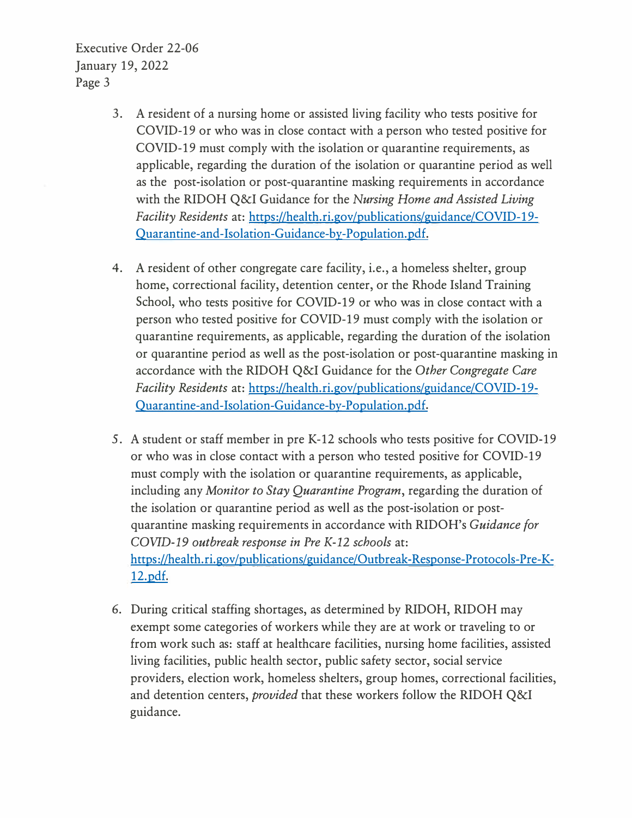Executive Order 22-06 January 19, 2022 Page 3

- 3. A resident of a nursing home or assisted living facility who tests positive for COVID-19 or who was in close contact with a person who tested positive for COVID-19 must comply with the isolation or quarantine requirements, as applicable, regarding the duration of the isolation or quarantine period as well as the post-isolation or post-quarantine masking requirements in accordance with the RIDOH Q&I Guidance for the *Nursing Home and Assisted Living Facility Residents* at: https://health.ri.gov/publications/guidance/COVID-19- Ouarantine-and-Isolation-Guidance-by-Population. pdf.
- 4. A resident of other congregate care facility, i.e., a homeless shelter, group home, correctional facility, detention center, or the Rhode Island Training School, who tests positive for COVID-19 or who was in close contact with a person who tested positive for COVID-19 must comply with the isolation or quarantine requirements, as applicable, regarding the duration of the isolation or quarantine period as well as the post-isolation or post-quarantine masking in accordance with the RIDOH Q&I Guidance for the *Other Congregate Care Facility Residents* at: https://health.ri.gov/publications/guidance/COVID-19- Ouarantine-and-Isolation-Guidance-by-Population. pdf.
- 5. A student or staff member in pre K-12 schools who tests positive for COVID-19 or who was in close contact with a person who tested positive for COVID-19 must comply with the isolation or quarantine requirements, as applicable, including any *Monitor to Stay Quarantine Program,* regarding the duration of the isolation or quarantine period as well as the post-isolation or postquarantine masking requirements in accordance with RIDOH's *Guidance for COVID-19 outbreak response in Pre K-12 schools* at: https://health.ri.gov/publications/guidance/Outbreak-Response-Protocols-Pre-K-12.pdf.
- 6. During critical staffing shortages, as determined by RIDOH, RIDOH may exempt some categories of workers while they are at work or traveling to or from work such as: staff at healthcare facilities, nursing home facilities, assisted living facilities, public health sector, public safety sector, social service providers, election work, homeless shelters, group homes, correctional facilities, and detention centers, *provided* that these workers follow the RIDOH Q&I guidance.